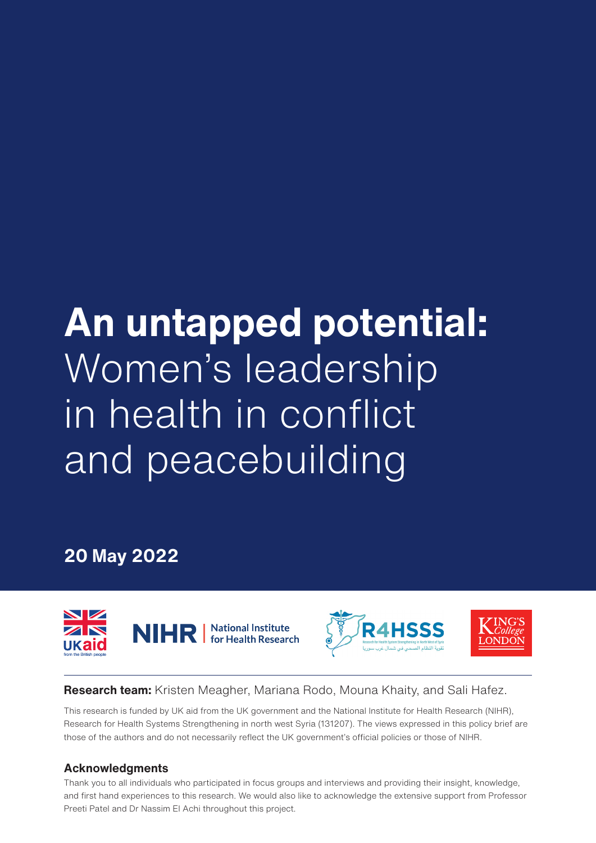# **An untapped potential:**  Women's leadership in health in conflict and peacebuilding

**20 May 2022**







**Research team:** Kristen Meagher, Mariana Rodo, Mouna Khaity, and Sali Hafez.

This research is funded by UK aid from the UK government and the National Institute for Health Research (NIHR), Research for Health Systems Strengthening in north west Syria (131207). The views expressed in this policy brief are those of the authors and do not necessarily reflect the UK government's official policies or those of NIHR.

### **Acknowledgments**

Thank you to all individuals who participated in focus groups and interviews and providing their insight, knowledge, and first hand experiences to this research. We would also like to acknowledge the extensive support from Professor Preeti Patel and Dr Nassim El Achi throughout this project.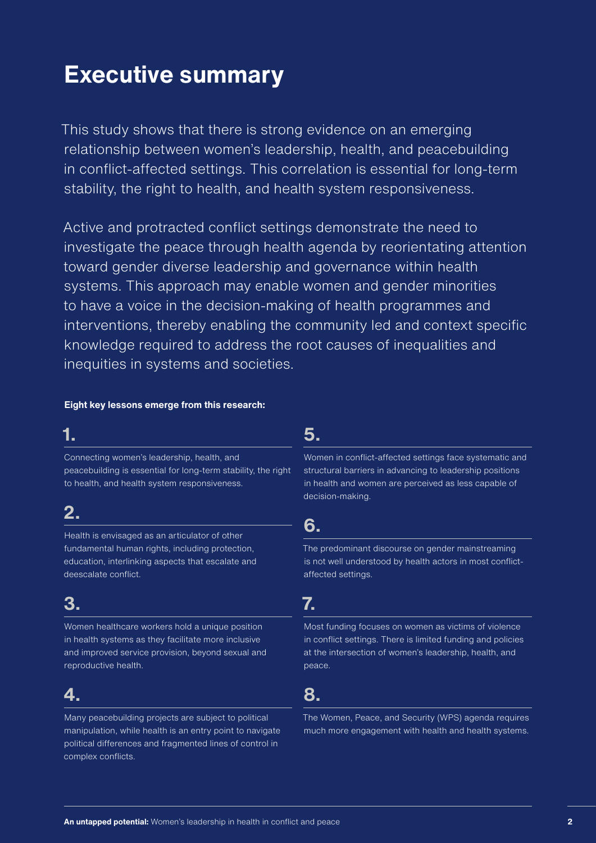# **Executive summary**

This study shows that there is strong evidence on an emerging relationship between women's leadership, health, and peacebuilding in conflict-affected settings. This correlation is essential for long-term stability, the right to health, and health system responsiveness.

Active and protracted conflict settings demonstrate the need to investigate the peace through health agenda by reorientating attention toward gender diverse leadership and governance within health systems. This approach may enable women and gender minorities to have a voice in the decision-making of health programmes and interventions, thereby enabling the community led and context specific knowledge required to address the root causes of inequalities and inequities in systems and societies.

#### **Eight key lessons emerge from this research:**

# **1.**

Connecting women's leadership, health, and peacebuilding is essential for long-term stability, the right to health, and health system responsiveness.

# **2.**

Health is envisaged as an articulator of other fundamental human rights, including protection, education, interlinking aspects that escalate and deescalate conflict.

# **3.**

Women healthcare workers hold a unique position in health systems as they facilitate more inclusive and improved service provision, beyond sexual and reproductive health.

# **4.**

Many peacebuilding projects are subject to political manipulation, while health is an entry point to navigate political differences and fragmented lines of control in complex conflicts.

### **5.**

Women in conflict-affected settings face systematic and structural barriers in advancing to leadership positions in health and women are perceived as less capable of decision-making.

### **6.**

The predominant discourse on gender mainstreaming is not well understood by health actors in most conflictaffected settings.

# **7.**

Most funding focuses on women as victims of violence in conflict settings. There is limited funding and policies at the intersection of women's leadership, health, and peace.

# **8.**

The Women, Peace, and Security (WPS) agenda requires much more engagement with health and health systems.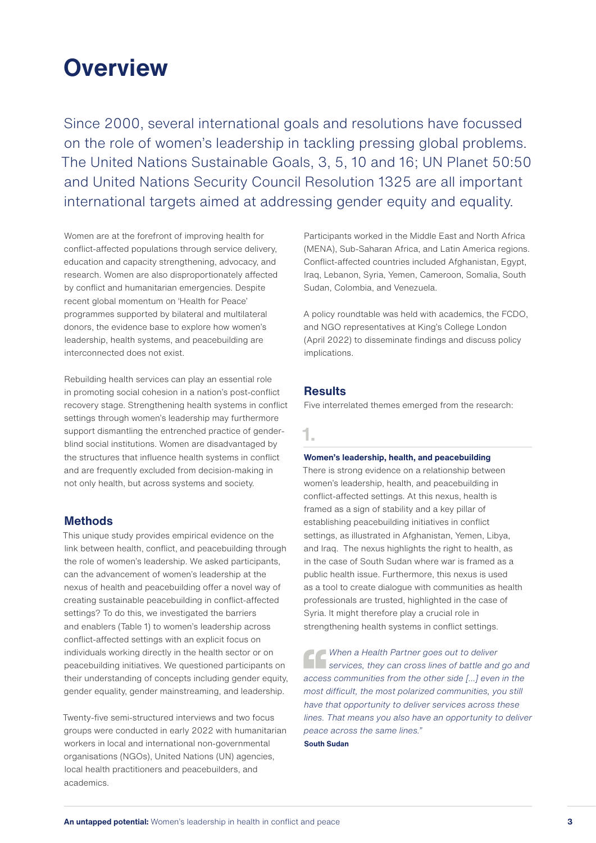# **Overview**

Since 2000, several international goals and resolutions have focussed on the role of women's leadership in tackling pressing global problems. The United Nations Sustainable Goals, 3, 5, 10 and 16; UN Planet 50:50 and United Nations Security Council Resolution 1325 are all important international targets aimed at addressing gender equity and equality.

Women are at the forefront of improving health for conflict-affected populations through service delivery, education and capacity strengthening, advocacy, and research. Women are also disproportionately affected by conflict and humanitarian emergencies. Despite recent global momentum on 'Health for Peace' programmes supported by bilateral and multilateral donors, the evidence base to explore how women's leadership, health systems, and peacebuilding are interconnected does not exist.

Rebuilding health services can play an essential role in promoting social cohesion in a nation's post-conflict recovery stage. Strengthening health systems in conflict settings through women's leadership may furthermore support dismantling the entrenched practice of genderblind social institutions. Women are disadvantaged by the structures that influence health systems in conflict and are frequently excluded from decision-making in not only health, but across systems and society.

#### **Methods**

This unique study provides empirical evidence on the link between health, conflict, and peacebuilding through the role of women's leadership. We asked participants, can the advancement of women's leadership at the nexus of health and peacebuilding offer a novel way of creating sustainable peacebuilding in conflict-affected settings? To do this, we investigated the barriers and enablers (Table 1) to women's leadership across conflict-affected settings with an explicit focus on individuals working directly in the health sector or on peacebuilding initiatives. We questioned participants on their understanding of concepts including gender equity, gender equality, gender mainstreaming, and leadership.

Twenty-five semi-structured interviews and two focus groups were conducted in early 2022 with humanitarian workers in local and international non-governmental organisations (NGOs), United Nations (UN) agencies, local health practitioners and peacebuilders, and academics.

Participants worked in the Middle East and North Africa (MENA), Sub-Saharan Africa, and Latin America regions. Conflict-affected countries included Afghanistan, Egypt, Iraq, Lebanon, Syria, Yemen, Cameroon, Somalia, South Sudan, Colombia, and Venezuela.

A policy roundtable was held with academics, the FCDO, and NGO representatives at King's College London (April 2022) to disseminate findings and discuss policy implications.

#### **Results**

Five interrelated themes emerged from the research:

### **1.**

#### **Women's leadership, health, and peacebuilding**

There is strong evidence on a relationship between women's leadership, health, and peacebuilding in conflict-affected settings. At this nexus, health is framed as a sign of stability and a key pillar of establishing peacebuilding initiatives in conflict settings, as illustrated in Afghanistan, Yemen, Libya, and Iraq. The nexus highlights the right to health, as in the case of South Sudan where war is framed as a public health issue. Furthermore, this nexus is used as a tool to create dialogue with communities as health professionals are trusted, highlighted in the case of Syria. It might therefore play a crucial role in strengthening health systems in conflict settings.

*When a Health Partner goes out to deliver*  **b** services, they can cross lines of battle and go and *access communities from the other side […] even in the most difficult, the most polarized communities, you still have that opportunity to deliver services across these lines. That means you also have an opportunity to deliver peace across the same lines."*

#### **South Sudan**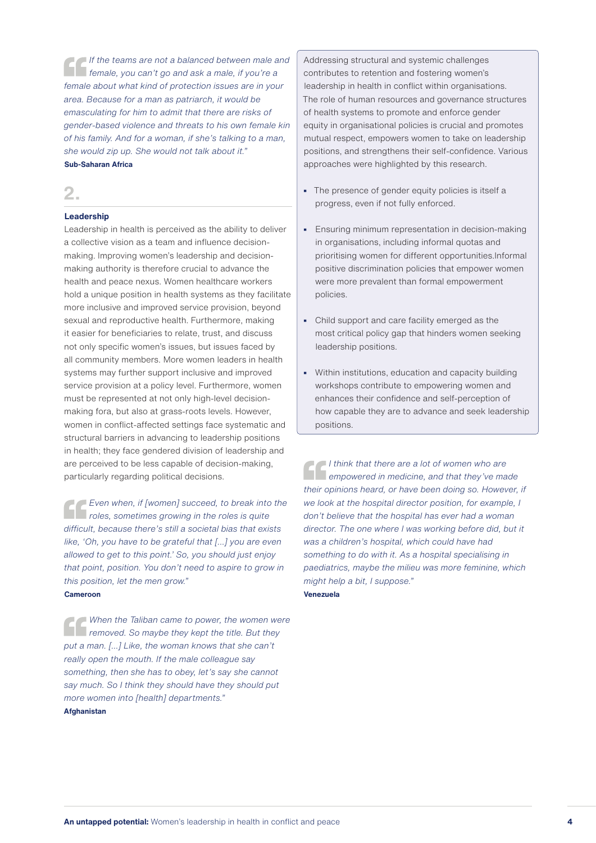*If the teams are not a balanced between male and female, you can't go and ask a male, if you're a female about what kind of protection issues are in your area. Because for a man as patriarch, it would be emasculating for him to admit that there are risks of gender-based violence and threats to his own female kin of his family. And for a woman, if she's talking to a man, she would zip up. She would not talk about it."* **Sub-Saharan Africa**

**2.**

#### **Leadership**

Leadership in health is perceived as the ability to deliver a collective vision as a team and influence decisionmaking. Improving women's leadership and decisionmaking authority is therefore crucial to advance the health and peace nexus. Women healthcare workers hold a unique position in health systems as they facilitate more inclusive and improved service provision, beyond sexual and reproductive health. Furthermore, making it easier for beneficiaries to relate, trust, and discuss not only specific women's issues, but issues faced by all community members. More women leaders in health systems may further support inclusive and improved service provision at a policy level. Furthermore, women must be represented at not only high-level decisionmaking fora, but also at grass-roots levels. However, women in conflict-affected settings face systematic and structural barriers in advancing to leadership positions in health; they face gendered division of leadership and are perceived to be less capable of decision-making, particularly regarding political decisions.

*Even when, if [women] succeed, to break into the roles, sometimes growing in the roles is quite difficult, because there's still a societal bias that exists like, 'Oh, you have to be grateful that [...] you are even allowed to get to this point.' So, you should just enjoy that point, position. You don't need to aspire to grow in this position, let the men grow."* **Cameroon**

*When the Taliban came to power, the women were removed. So maybe they kept the title. But they put a man. […] Like, the woman knows that she can't really open the mouth. If the male colleague say something, then she has to obey, let's say she cannot say much. So I think they should have they should put more women into [health] departments."*

#### **Afghanistan**

Addressing structural and systemic challenges contributes to retention and fostering women's leadership in health in conflict within organisations. The role of human resources and governance structures of health systems to promote and enforce gender equity in organisational policies is crucial and promotes mutual respect, empowers women to take on leadership positions, and strengthens their self-confidence. Various approaches were highlighted by this research.

- **•** The presence of gender equity policies is itself a progress, even if not fully enforced.
- **•** Ensuring minimum representation in decision-making in organisations, including informal quotas and prioritising women for different opportunities.Informal positive discrimination policies that empower women were more prevalent than formal empowerment policies.
- **•** Child support and care facility emerged as the most critical policy gap that hinders women seeking leadership positions.
- **•** Within institutions, education and capacity building workshops contribute to empowering women and enhances their confidence and self-perception of how capable they are to advance and seek leadership positions.

*I think that there are a lot of women who are empowered in medicine, and that they've made their opinions heard, or have been doing so. However, if we look at the hospital director position, for example, I don't believe that the hospital has ever had a woman director. The one where I was working before did, but it was a children's hospital, which could have had something to do with it. As a hospital specialising in paediatrics, maybe the milieu was more feminine, which might help a bit, I suppose."* **Venezuela**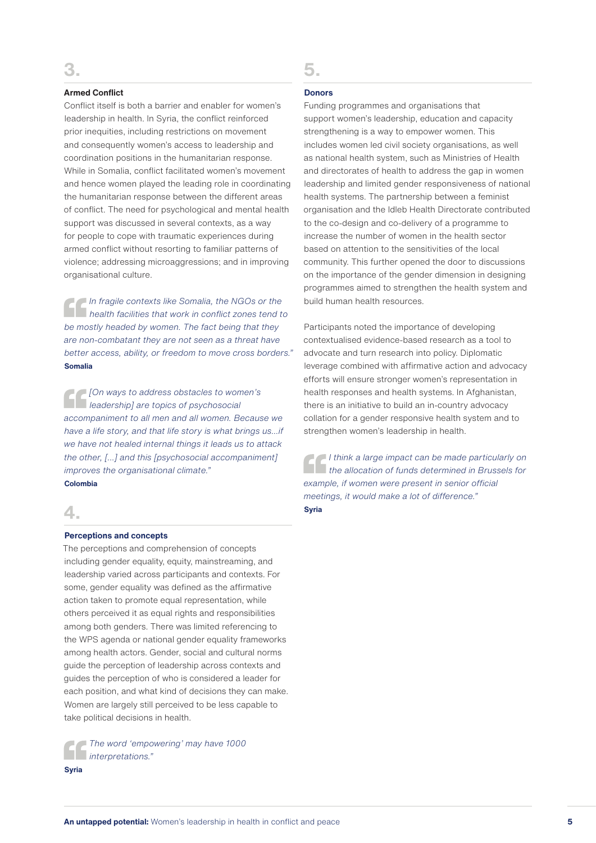#### **Armed Conflict**

Conflict itself is both a barrier and enabler for women's leadership in health. In Syria, the conflict reinforced prior inequities, including restrictions on movement and consequently women's access to leadership and coordination positions in the humanitarian response. While in Somalia, conflict facilitated women's movement and hence women played the leading role in coordinating the humanitarian response between the different areas of conflict. The need for psychological and mental health support was discussed in several contexts, as a way for people to cope with traumatic experiences during armed conflict without resorting to familiar patterns of violence; addressing microaggressions; and in improving organisational culture.

*In fragile contexts like Somalia, the NGOs or the health facilities that work in conflict zones tend to be mostly headed by women. The fact being that they are non-combatant they are not seen as a threat have better access, ability, or freedom to move cross borders."* **Somalia**

*[On ways to address obstacles to women's leadership] are topics of psychosocial accompaniment to all men and all women. Because we have a life story, and that life story is what brings us...if we have not healed internal things it leads us to attack the other, [...] and this [psychosocial accompaniment] improves the organisational climate."* **Colombia**

#### **4.**

#### **Perceptions and concepts**

The perceptions and comprehension of concepts including gender equality, equity, mainstreaming, and leadership varied across participants and contexts. For some, gender equality was defined as the affirmative action taken to promote equal representation, while others perceived it as equal rights and responsibilities among both genders. There was limited referencing to the WPS agenda or national gender equality frameworks among health actors. Gender, social and cultural norms guide the perception of leadership across contexts and guides the perception of who is considered a leader for each position, and what kind of decisions they can make. Women are largely still perceived to be less capable to take political decisions in health.

*The word 'empowering' may have 1000 interpretations."*

**Syria**

# **5.**

#### **Donors**

Funding programmes and organisations that support women's leadership, education and capacity strengthening is a way to empower women. This includes women led civil society organisations, as well as national health system, such as Ministries of Health and directorates of health to address the gap in women leadership and limited gender responsiveness of national health systems. The partnership between a feminist organisation and the Idleb Health Directorate contributed to the co-design and co-delivery of a programme to increase the number of women in the health sector based on attention to the sensitivities of the local community. This further opened the door to discussions on the importance of the gender dimension in designing programmes aimed to strengthen the health system and build human health resources.

Participants noted the importance of developing contextualised evidence-based research as a tool to advocate and turn research into policy. Diplomatic leverage combined with affirmative action and advocacy efforts will ensure stronger women's representation in health responses and health systems. In Afghanistan, there is an initiative to build an in-country advocacy collation for a gender responsive health system and to strengthen women's leadership in health.

*I think a large impact can be made particularly on the allocation of funds determined in Brussels for example, if women were present in senior official meetings, it would make a lot of difference."* **Syria**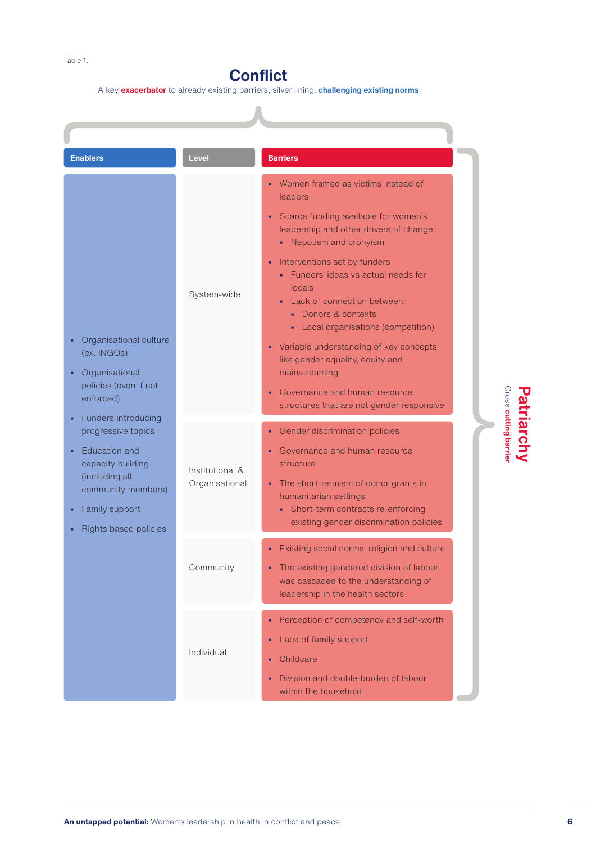# **Conflict**

A key **exacerbator** to already existing barriers; silver lining: **challenging existing norms**

A

| <b>Enablers</b>                                               | Level           | <b>Barriers</b>                                                                                                                                                                  |
|---------------------------------------------------------------|-----------------|----------------------------------------------------------------------------------------------------------------------------------------------------------------------------------|
|                                                               | System-wide     | Women framed as victims instead of<br>leaders                                                                                                                                    |
|                                                               |                 | Scarce funding available for women's<br>leadership and other drivers of change.<br>• Nepotism and cronyism                                                                       |
|                                                               |                 | Interventions set by funders<br>٠<br>• Funders' ideas vs actual needs for<br>locals<br>Lack of connection between:<br>• Donors & contexts<br>- Local organisations (competition) |
| Organisational culture<br>(ex. INGOs)<br>Organisational       |                 | Variable understanding of key concepts<br>٠<br>like gender equality, equity and<br>mainstreaming                                                                                 |
| policies (even if not<br>enforced)                            |                 | Governance and human resource<br>structures that are not gender responsive                                                                                                       |
| Funders introducing<br>progressive topics                     |                 | Gender discrimination policies<br>۰                                                                                                                                              |
| Education and<br>capacity building<br>(including all          | Institutional & | Governance and human resource<br>structure                                                                                                                                       |
| community members)<br>Family support<br>Rights based policies | Organisational  | The short-termism of donor grants in<br>humanitarian settings<br>• Short-term contracts re-enforcing<br>existing gender discrimination policies                                  |
|                                                               | Community       | Existing social norms, religion and culture<br>The existing gendered division of labour<br>was cascaded to the understanding of<br>leadership in the health sectors              |
|                                                               | Individual      | Perception of competency and self-worth<br>٠<br>Lack of family support<br>٠<br>Childcare<br>٠<br>Division and double-burden of labour                                            |

# Patriarchy<br>Cross cutting barrier **Patriarchy cutting barrier**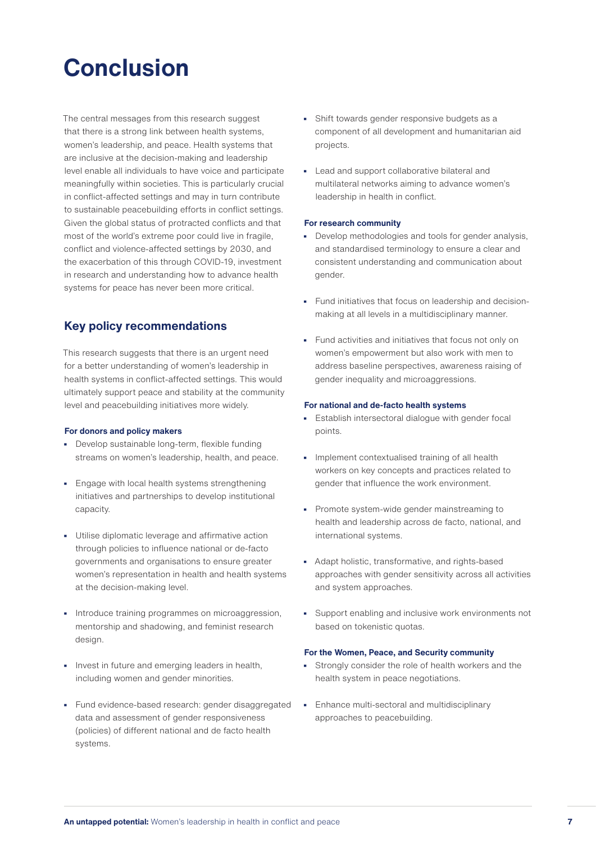# **Conclusion**

The central messages from this research suggest that there is a strong link between health systems, women's leadership, and peace. Health systems that are inclusive at the decision-making and leadership level enable all individuals to have voice and participate meaningfully within societies. This is particularly crucial in conflict-affected settings and may in turn contribute to sustainable peacebuilding efforts in conflict settings. Given the global status of protracted conflicts and that most of the world's extreme poor could live in fragile, conflict and violence-affected settings by 2030, and the exacerbation of this through COVID-19, investment in research and understanding how to advance health systems for peace has never been more critical.

#### **Key policy recommendations**

This research suggests that there is an urgent need for a better understanding of women's leadership in health systems in conflict-affected settings. This would ultimately support peace and stability at the community level and peacebuilding initiatives more widely.

#### **For donors and policy makers**

- **•** Develop sustainable long-term, flexible funding streams on women's leadership, health, and peace.
- **•** Engage with local health systems strengthening initiatives and partnerships to develop institutional capacity.
- **•** Utilise diplomatic leverage and affirmative action through policies to influence national or de-facto governments and organisations to ensure greater women's representation in health and health systems at the decision-making level.
- **•** Introduce training programmes on microaggression, mentorship and shadowing, and feminist research design.
- **•** Invest in future and emerging leaders in health, including women and gender minorities.
- **•** Fund evidence-based research: gender disaggregated data and assessment of gender responsiveness (policies) of different national and de facto health systems.
- **•** Shift towards gender responsive budgets as a component of all development and humanitarian aid projects.
- **•** Lead and support collaborative bilateral and multilateral networks aiming to advance women's leadership in health in conflict.

#### **For research community**

- **•** Develop methodologies and tools for gender analysis, and standardised terminology to ensure a clear and consistent understanding and communication about gender.
- **•** Fund initiatives that focus on leadership and decisionmaking at all levels in a multidisciplinary manner.
- **•** Fund activities and initiatives that focus not only on women's empowerment but also work with men to address baseline perspectives, awareness raising of gender inequality and microaggressions.

#### **For national and de-facto health systems**

- **•** Establish intersectoral dialogue with gender focal points.
- **•** Implement contextualised training of all health workers on key concepts and practices related to gender that influence the work environment.
- **•** Promote system-wide gender mainstreaming to health and leadership across de facto, national, and international systems.
- **•** Adapt holistic, transformative, and rights-based approaches with gender sensitivity across all activities and system approaches.
- **•** Support enabling and inclusive work environments not based on tokenistic quotas.

#### **For the Women, Peace, and Security community**

- **•** Strongly consider the role of health workers and the health system in peace negotiations.
- **•** Enhance multi-sectoral and multidisciplinary approaches to peacebuilding.